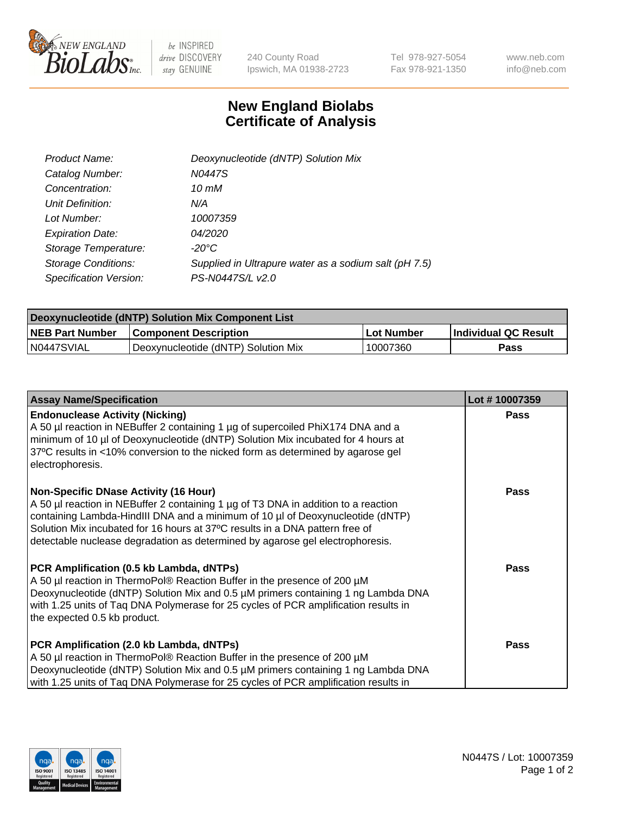

 $be$  INSPIRED drive DISCOVERY stay GENUINE

240 County Road Ipswich, MA 01938-2723 Tel 978-927-5054 Fax 978-921-1350 www.neb.com info@neb.com

## **New England Biolabs Certificate of Analysis**

| Product Name:              | Deoxynucleotide (dNTP) Solution Mix                   |
|----------------------------|-------------------------------------------------------|
| Catalog Number:            | N0447S                                                |
| Concentration:             | 10 mM                                                 |
| Unit Definition:           | N/A                                                   |
| Lot Number:                | 10007359                                              |
| <b>Expiration Date:</b>    | 04/2020                                               |
| Storage Temperature:       | $-20^{\circ}$ C                                       |
| <b>Storage Conditions:</b> | Supplied in Ultrapure water as a sodium salt (pH 7.5) |
| Specification Version:     | PS-N0447S/L v2.0                                      |

| Deoxynucleotide (dNTP) Solution Mix Component List |                                     |            |                             |  |
|----------------------------------------------------|-------------------------------------|------------|-----------------------------|--|
| <b>NEB Part Number</b>                             | <b>Component Description</b>        | Lot Number | <b>Individual QC Result</b> |  |
| N0447SVIAL                                         | Deoxynucleotide (dNTP) Solution Mix | 10007360   | Pass                        |  |

| <b>Assay Name/Specification</b>                                                                                                                                                                                                                                                                                                                                                       | Lot #10007359 |
|---------------------------------------------------------------------------------------------------------------------------------------------------------------------------------------------------------------------------------------------------------------------------------------------------------------------------------------------------------------------------------------|---------------|
| <b>Endonuclease Activity (Nicking)</b><br>A 50 µl reaction in NEBuffer 2 containing 1 µg of supercoiled PhiX174 DNA and a<br>minimum of 10 µl of Deoxynucleotide (dNTP) Solution Mix incubated for 4 hours at<br>37°C results in <10% conversion to the nicked form as determined by agarose gel<br>electrophoresis.                                                                  | <b>Pass</b>   |
| <b>Non-Specific DNase Activity (16 Hour)</b><br>A 50 µl reaction in NEBuffer 2 containing 1 µg of T3 DNA in addition to a reaction<br>containing Lambda-HindIII DNA and a minimum of 10 µl of Deoxynucleotide (dNTP)<br>Solution Mix incubated for 16 hours at 37°C results in a DNA pattern free of<br>detectable nuclease degradation as determined by agarose gel electrophoresis. | Pass          |
| PCR Amplification (0.5 kb Lambda, dNTPs)<br>A 50 µl reaction in ThermoPol® Reaction Buffer in the presence of 200 µM<br>Deoxynucleotide (dNTP) Solution Mix and 0.5 µM primers containing 1 ng Lambda DNA<br>with 1.25 units of Taq DNA Polymerase for 25 cycles of PCR amplification results in<br>the expected 0.5 kb product.                                                      | Pass          |
| PCR Amplification (2.0 kb Lambda, dNTPs)<br>A 50 µl reaction in ThermoPol® Reaction Buffer in the presence of 200 µM<br>Deoxynucleotide (dNTP) Solution Mix and 0.5 µM primers containing 1 ng Lambda DNA<br>with 1.25 units of Taq DNA Polymerase for 25 cycles of PCR amplification results in                                                                                      | <b>Pass</b>   |